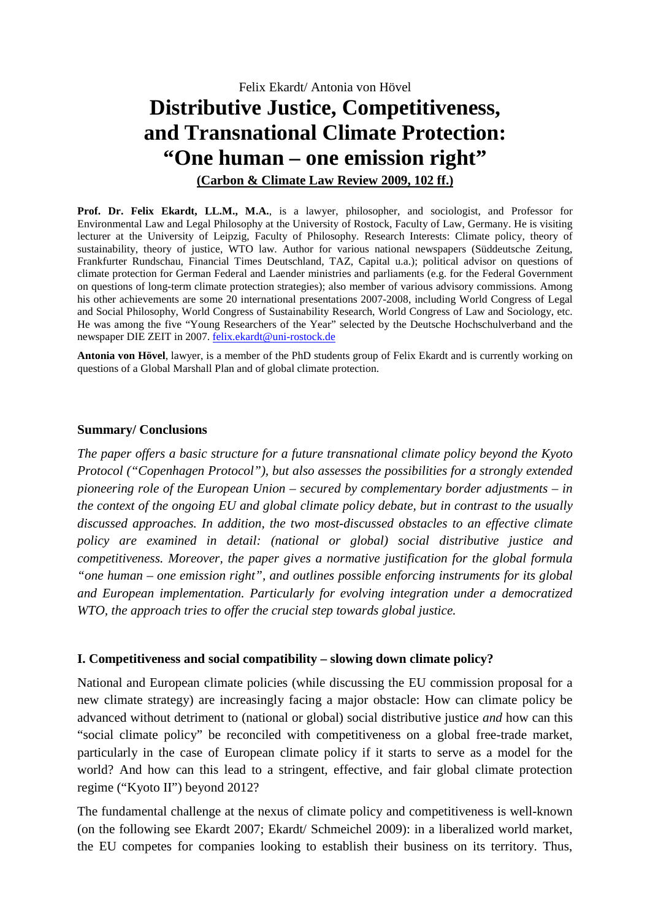Felix Ekardt/ Antonia von Hövel **Distributive Justice, Competitiveness, and Transnational Climate Protection: "One human – one emission right" (Carbon & Climate Law Review 2009, 102 ff.)**

**Prof. Dr. Felix Ekardt, LL.M., M.A.**, is a lawyer, philosopher, and sociologist, and Professor for Environmental Law and Legal Philosophy at the University of Rostock, Faculty of Law, Germany. He is visiting lecturer at the University of Leipzig, Faculty of Philosophy. Research Interests: Climate policy, theory of sustainability, theory of justice, WTO law. Author for various national newspapers (Süddeutsche Zeitung, Frankfurter Rundschau, Financial Times Deutschland, TAZ, Capital u.a.); political advisor on questions of climate protection for German Federal and Laender ministries and parliaments (e.g. for the Federal Government on questions of long-term climate protection strategies); also member of various advisory commissions. Among his other achievements are some 20 international presentations 2007-2008, including World Congress of Legal and Social Philosophy, World Congress of Sustainability Research, World Congress of Law and Sociology, etc. He was among the five "Young Researchers of the Year" selected by the Deutsche Hochschulverband and the newspaper DIE ZEIT in 2007. felix.ekardt@uni-rostock.de

**Antonia von Hövel**, lawyer, is a member of the PhD students group of Felix Ekardt and is currently working on questions of a Global Marshall Plan and of global climate protection.

#### **Summary/ Conclusions**

*The paper offers a basic structure for a future transnational climate policy beyond the Kyoto Protocol ("Copenhagen Protocol"), but also assesses the possibilities for a strongly extended pioneering role of the European Union – secured by complementary border adjustments – in the context of the ongoing EU and global climate policy debate, but in contrast to the usually discussed approaches. In addition, the two most-discussed obstacles to an effective climate policy are examined in detail: (national or global) social distributive justice and competitiveness. Moreover, the paper gives a normative justification for the global formula "one human – one emission right", and outlines possible enforcing instruments for its global and European implementation. Particularly for evolving integration under a democratized WTO, the approach tries to offer the crucial step towards global justice.* 

#### **I. Competitiveness and social compatibility – slowing down climate policy?**

National and European climate policies (while discussing the EU commission proposal for a new climate strategy) are increasingly facing a major obstacle: How can climate policy be advanced without detriment to (national or global) social distributive justice *and* how can this "social climate policy" be reconciled with competitiveness on a global free-trade market, particularly in the case of European climate policy if it starts to serve as a model for the world? And how can this lead to a stringent, effective, and fair global climate protection regime ("Kyoto II") beyond 2012?

The fundamental challenge at the nexus of climate policy and competitiveness is well-known (on the following see Ekardt 2007; Ekardt/ Schmeichel 2009): in a liberalized world market, the EU competes for companies looking to establish their business on its territory. Thus,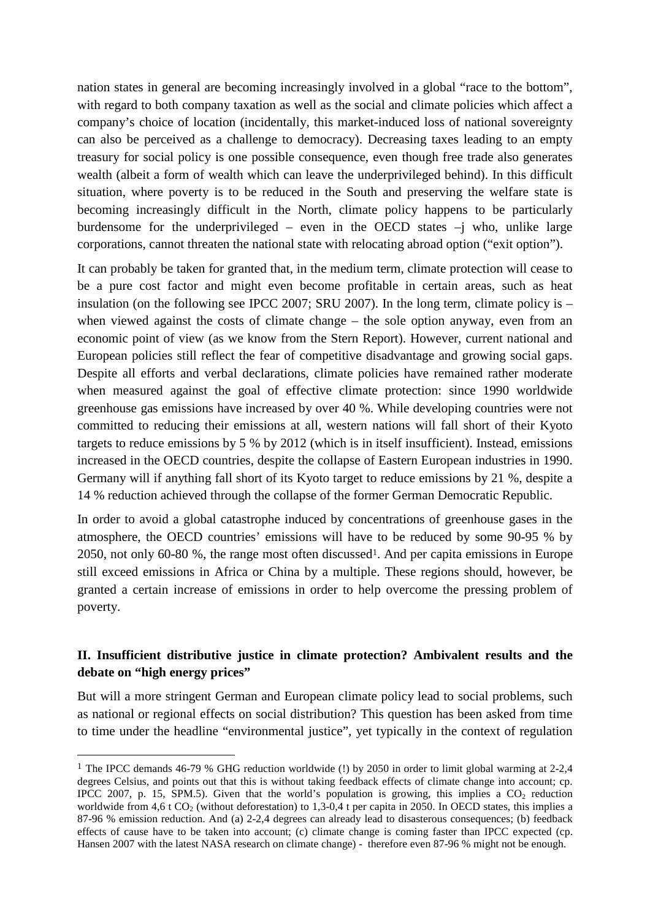nation states in general are becoming increasingly involved in a global "race to the bottom", with regard to both company taxation as well as the social and climate policies which affect a company's choice of location (incidentally, this market-induced loss of national sovereignty can also be perceived as a challenge to democracy). Decreasing taxes leading to an empty treasury for social policy is one possible consequence, even though free trade also generates wealth (albeit a form of wealth which can leave the underprivileged behind). In this difficult situation, where poverty is to be reduced in the South and preserving the welfare state is becoming increasingly difficult in the North, climate policy happens to be particularly burdensome for the underprivileged – even in the OECD states –j who, unlike large corporations, cannot threaten the national state with relocating abroad option ("exit option").

It can probably be taken for granted that, in the medium term, climate protection will cease to be a pure cost factor and might even become profitable in certain areas, such as heat insulation (on the following see IPCC 2007; SRU 2007). In the long term, climate policy is – when viewed against the costs of climate change – the sole option anyway, even from an economic point of view (as we know from the Stern Report). However, current national and European policies still reflect the fear of competitive disadvantage and growing social gaps. Despite all efforts and verbal declarations, climate policies have remained rather moderate when measured against the goal of effective climate protection: since 1990 worldwide greenhouse gas emissions have increased by over 40 %. While developing countries were not committed to reducing their emissions at all, western nations will fall short of their Kyoto targets to reduce emissions by 5 % by 2012 (which is in itself insufficient). Instead, emissions increased in the OECD countries, despite the collapse of Eastern European industries in 1990. Germany will if anything fall short of its Kyoto target to reduce emissions by 21 %, despite a 14 % reduction achieved through the collapse of the former German Democratic Republic.

In order to avoid a global catastrophe induced by concentrations of greenhouse gases in the atmosphere, the OECD countries' emissions will have to be reduced by some 90-95 % by 2050, not only 60-80 %, the range most often discussed1. And per capita emissions in Europe still exceed emissions in Africa or China by a multiple. These regions should, however, be granted a certain increase of emissions in order to help overcome the pressing problem of poverty.

# **II. Insufficient distributive justice in climate protection? Ambivalent results and the debate on "high energy prices"**

But will a more stringent German and European climate policy lead to social problems, such as national or regional effects on social distribution? This question has been asked from time to time under the headline "environmental justice", yet typically in the context of regulation

<sup>&</sup>lt;sup>1</sup> The IPCC demands 46-79 % GHG reduction worldwide (!) by 2050 in order to limit global warming at 2-2,4 degrees Celsius, and points out that this is without taking feedback effects of climate change into account; cp. IPCC 2007, p. 15, SPM.5). Given that the world's population is growing, this implies a  $CO<sub>2</sub>$  reduction worldwide from 4,6 t  $CO_2$  (without deforestation) to 1,3-0,4 t per capita in 2050. In OECD states, this implies a 87-96 % emission reduction. And (a) 2-2,4 degrees can already lead to disasterous consequences; (b) feedback effects of cause have to be taken into account; (c) climate change is coming faster than IPCC expected (cp. Hansen 2007 with the latest NASA research on climate change) - therefore even 87-96 % might not be enough.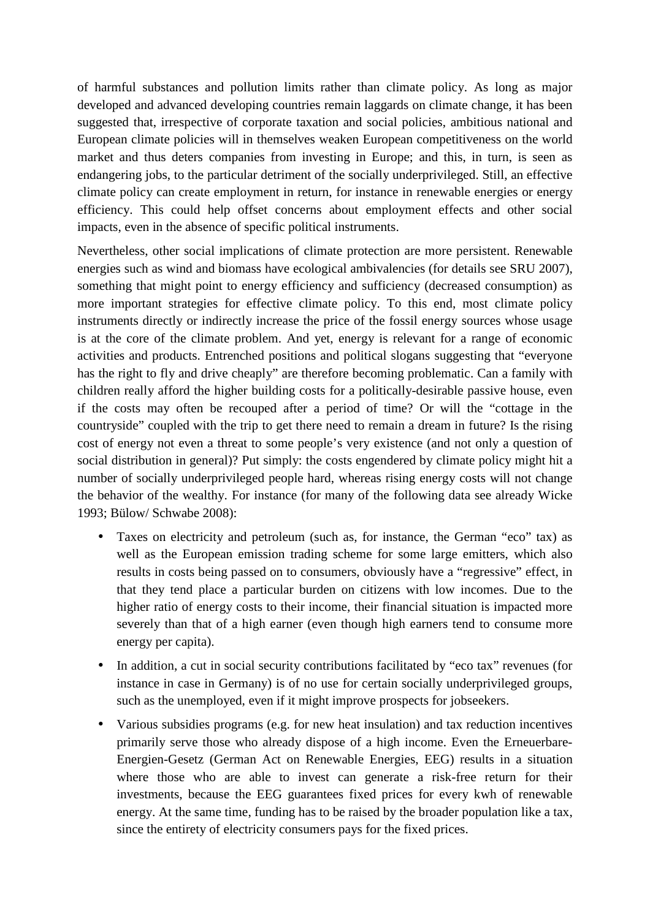of harmful substances and pollution limits rather than climate policy. As long as major developed and advanced developing countries remain laggards on climate change, it has been suggested that, irrespective of corporate taxation and social policies, ambitious national and European climate policies will in themselves weaken European competitiveness on the world market and thus deters companies from investing in Europe; and this, in turn, is seen as endangering jobs, to the particular detriment of the socially underprivileged. Still, an effective climate policy can create employment in return, for instance in renewable energies or energy efficiency. This could help offset concerns about employment effects and other social impacts, even in the absence of specific political instruments.

Nevertheless, other social implications of climate protection are more persistent. Renewable energies such as wind and biomass have ecological ambivalencies (for details see SRU 2007), something that might point to energy efficiency and sufficiency (decreased consumption) as more important strategies for effective climate policy. To this end, most climate policy instruments directly or indirectly increase the price of the fossil energy sources whose usage is at the core of the climate problem. And yet, energy is relevant for a range of economic activities and products. Entrenched positions and political slogans suggesting that "everyone has the right to fly and drive cheaply" are therefore becoming problematic. Can a family with children really afford the higher building costs for a politically-desirable passive house, even if the costs may often be recouped after a period of time? Or will the "cottage in the countryside" coupled with the trip to get there need to remain a dream in future? Is the rising cost of energy not even a threat to some people's very existence (and not only a question of social distribution in general)? Put simply: the costs engendered by climate policy might hit a number of socially underprivileged people hard, whereas rising energy costs will not change the behavior of the wealthy. For instance (for many of the following data see already Wicke 1993; Bülow/ Schwabe 2008):

- Taxes on electricity and petroleum (such as, for instance, the German "eco" tax) as well as the European emission trading scheme for some large emitters, which also results in costs being passed on to consumers, obviously have a "regressive" effect, in that they tend place a particular burden on citizens with low incomes. Due to the higher ratio of energy costs to their income, their financial situation is impacted more severely than that of a high earner (even though high earners tend to consume more energy per capita).
- In addition, a cut in social security contributions facilitated by "eco tax" revenues (for instance in case in Germany) is of no use for certain socially underprivileged groups, such as the unemployed, even if it might improve prospects for jobseekers.
- Various subsidies programs (e.g. for new heat insulation) and tax reduction incentives primarily serve those who already dispose of a high income. Even the Erneuerbare-Energien-Gesetz (German Act on Renewable Energies, EEG) results in a situation where those who are able to invest can generate a risk-free return for their investments, because the EEG guarantees fixed prices for every kwh of renewable energy. At the same time, funding has to be raised by the broader population like a tax, since the entirety of electricity consumers pays for the fixed prices.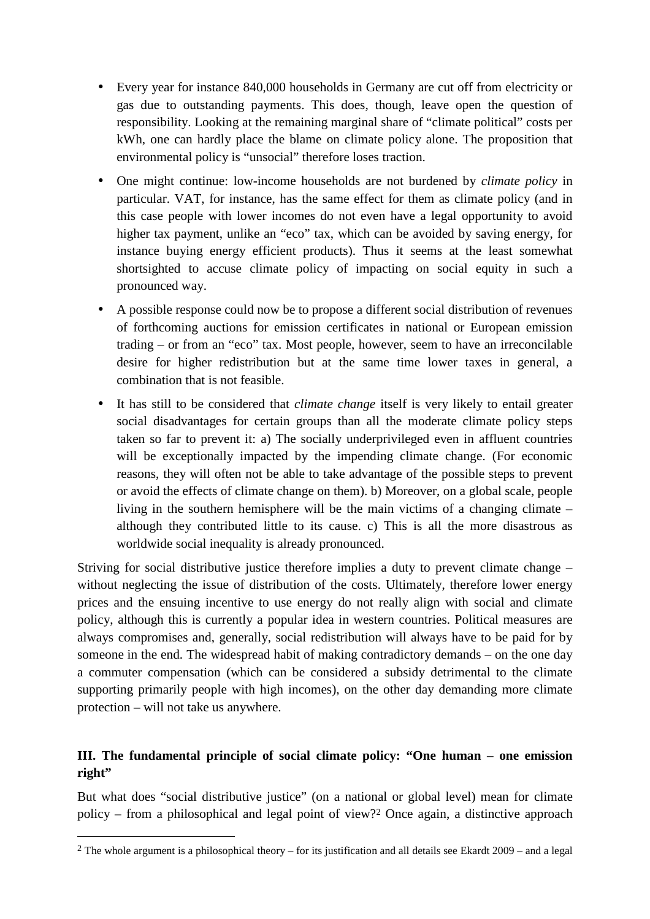- Every year for instance 840,000 households in Germany are cut off from electricity or gas due to outstanding payments. This does, though, leave open the question of responsibility. Looking at the remaining marginal share of "climate political" costs per kWh, one can hardly place the blame on climate policy alone. The proposition that environmental policy is "unsocial" therefore loses traction.
- One might continue: low-income households are not burdened by *climate policy* in particular. VAT, for instance, has the same effect for them as climate policy (and in this case people with lower incomes do not even have a legal opportunity to avoid higher tax payment, unlike an "eco" tax, which can be avoided by saving energy, for instance buying energy efficient products). Thus it seems at the least somewhat shortsighted to accuse climate policy of impacting on social equity in such a pronounced way.
- A possible response could now be to propose a different social distribution of revenues of forthcoming auctions for emission certificates in national or European emission trading – or from an "eco" tax. Most people, however, seem to have an irreconcilable desire for higher redistribution but at the same time lower taxes in general, a combination that is not feasible.
- It has still to be considered that *climate change* itself is very likely to entail greater social disadvantages for certain groups than all the moderate climate policy steps taken so far to prevent it: a) The socially underprivileged even in affluent countries will be exceptionally impacted by the impending climate change. (For economic reasons, they will often not be able to take advantage of the possible steps to prevent or avoid the effects of climate change on them). b) Moreover, on a global scale, people living in the southern hemisphere will be the main victims of a changing climate – although they contributed little to its cause. c) This is all the more disastrous as worldwide social inequality is already pronounced.

Striving for social distributive justice therefore implies a duty to prevent climate change – without neglecting the issue of distribution of the costs. Ultimately, therefore lower energy prices and the ensuing incentive to use energy do not really align with social and climate policy, although this is currently a popular idea in western countries. Political measures are always compromises and, generally, social redistribution will always have to be paid for by someone in the end. The widespread habit of making contradictory demands – on the one day a commuter compensation (which can be considered a subsidy detrimental to the climate supporting primarily people with high incomes), on the other day demanding more climate protection – will not take us anywhere.

# **III. The fundamental principle of social climate policy: "One human – one emission**  right"

But what does "social distributive justice" (on a national or global level) mean for climate policy – from a philosophical and legal point of view?2 Once again, a distinctive approach

 $2$  The whole argument is a philosophical theory – for its justification and all details see Ekardt 2009 – and a legal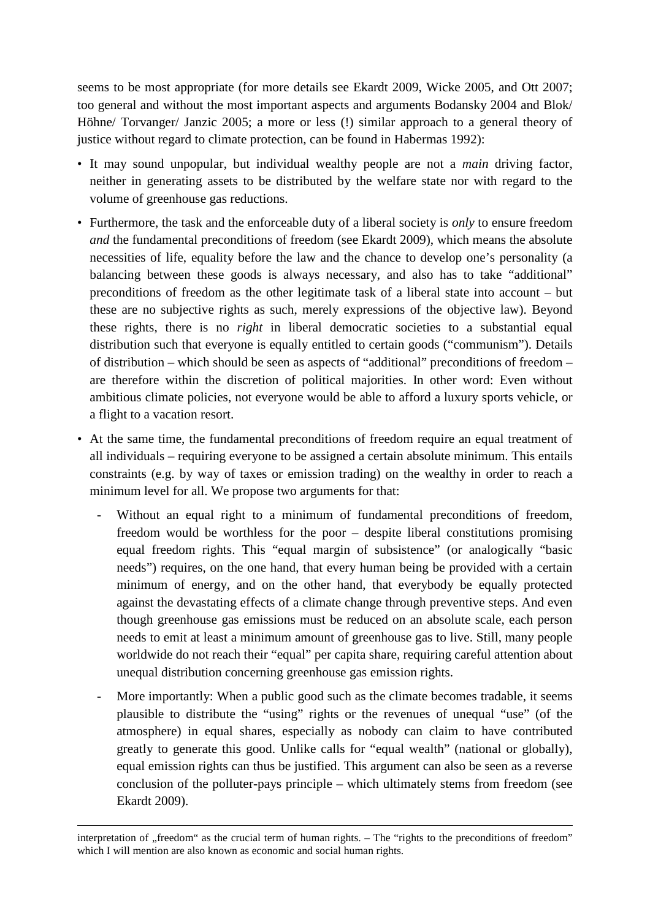seems to be most appropriate (for more details see Ekardt 2009, Wicke 2005, and Ott 2007; too general and without the most important aspects and arguments Bodansky 2004 and Blok/ Höhne/ Torvanger/ Janzic 2005; a more or less (!) similar approach to a general theory of justice without regard to climate protection, can be found in Habermas 1992):

- It may sound unpopular, but individual wealthy people are not a *main* driving factor, neither in generating assets to be distributed by the welfare state nor with regard to the volume of greenhouse gas reductions.
- Furthermore, the task and the enforceable duty of a liberal society is *only* to ensure freedom *and* the fundamental preconditions of freedom (see Ekardt 2009), which means the absolute necessities of life, equality before the law and the chance to develop one's personality (a balancing between these goods is always necessary, and also has to take "additional" preconditions of freedom as the other legitimate task of a liberal state into account – but these are no subjective rights as such, merely expressions of the objective law). Beyond these rights, there is no *right* in liberal democratic societies to a substantial equal distribution such that everyone is equally entitled to certain goods ("communism"). Details of distribution – which should be seen as aspects of "additional" preconditions of freedom – are therefore within the discretion of political majorities. In other word: Even without ambitious climate policies, not everyone would be able to afford a luxury sports vehicle, or a flight to a vacation resort.
- At the same time, the fundamental preconditions of freedom require an equal treatment of all individuals – requiring everyone to be assigned a certain absolute minimum. This entails constraints (e.g. by way of taxes or emission trading) on the wealthy in order to reach a minimum level for all. We propose two arguments for that:
	- Without an equal right to a minimum of fundamental preconditions of freedom, freedom would be worthless for the poor – despite liberal constitutions promising equal freedom rights. This "equal margin of subsistence" (or analogically "basic needs") requires, on the one hand, that every human being be provided with a certain minimum of energy, and on the other hand, that everybody be equally protected against the devastating effects of a climate change through preventive steps. And even though greenhouse gas emissions must be reduced on an absolute scale, each person needs to emit at least a minimum amount of greenhouse gas to live. Still, many people worldwide do not reach their "equal" per capita share, requiring careful attention about unequal distribution concerning greenhouse gas emission rights.
	- More importantly: When a public good such as the climate becomes tradable, it seems plausible to distribute the "using" rights or the revenues of unequal "use" (of the atmosphere) in equal shares, especially as nobody can claim to have contributed greatly to generate this good. Unlike calls for "equal wealth" (national or globally), equal emission rights can thus be justified. This argument can also be seen as a reverse conclusion of the polluter-pays principle – which ultimately stems from freedom (see Ekardt 2009).

<u>.</u>

interpretation of "freedom" as the crucial term of human rights. – The "rights to the preconditions of freedom" which I will mention are also known as economic and social human rights.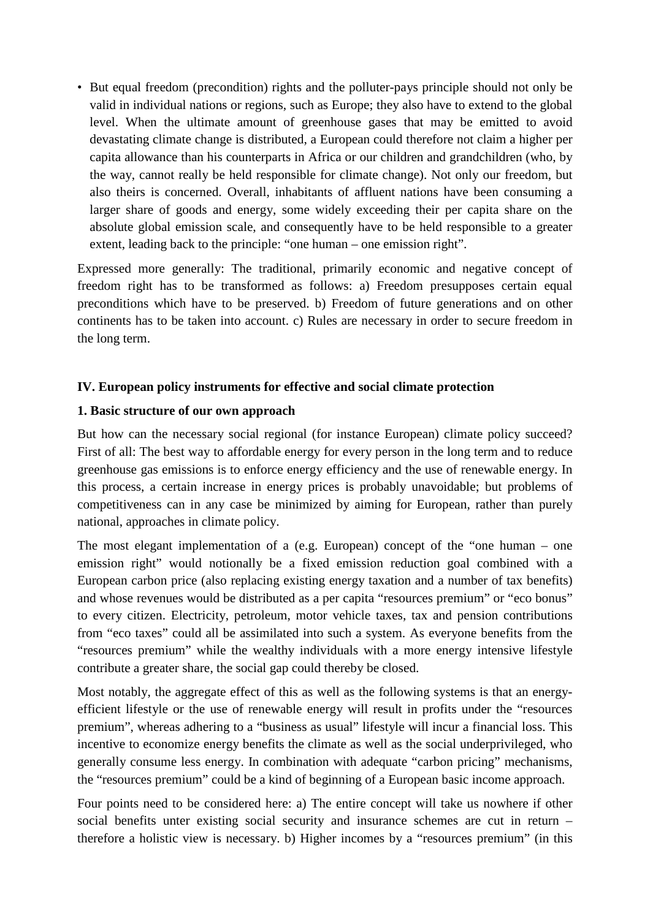• But equal freedom (precondition) rights and the polluter-pays principle should not only be valid in individual nations or regions, such as Europe; they also have to extend to the global level. When the ultimate amount of greenhouse gases that may be emitted to avoid devastating climate change is distributed, a European could therefore not claim a higher per capita allowance than his counterparts in Africa or our children and grandchildren (who, by the way, cannot really be held responsible for climate change). Not only our freedom, but also theirs is concerned. Overall, inhabitants of affluent nations have been consuming a larger share of goods and energy, some widely exceeding their per capita share on the absolute global emission scale, and consequently have to be held responsible to a greater extent, leading back to the principle: "one human – one emission right".

Expressed more generally: The traditional, primarily economic and negative concept of freedom right has to be transformed as follows: a) Freedom presupposes certain equal preconditions which have to be preserved. b) Freedom of future generations and on other continents has to be taken into account. c) Rules are necessary in order to secure freedom in the long term.

# **IV. European policy instruments for effective and social climate protection**

## **1. Basic structure of our own approach**

But how can the necessary social regional (for instance European) climate policy succeed? First of all: The best way to affordable energy for every person in the long term and to reduce greenhouse gas emissions is to enforce energy efficiency and the use of renewable energy. In this process, a certain increase in energy prices is probably unavoidable; but problems of competitiveness can in any case be minimized by aiming for European, rather than purely national, approaches in climate policy.

The most elegant implementation of a (e.g. European) concept of the "one human – one emission right" would notionally be a fixed emission reduction goal combined with a European carbon price (also replacing existing energy taxation and a number of tax benefits) and whose revenues would be distributed as a per capita "resources premium" or "eco bonus" to every citizen. Electricity, petroleum, motor vehicle taxes, tax and pension contributions from "eco taxes" could all be assimilated into such a system. As everyone benefits from the "resources premium" while the wealthy individuals with a more energy intensive lifestyle contribute a greater share, the social gap could thereby be closed.

Most notably, the aggregate effect of this as well as the following systems is that an energyefficient lifestyle or the use of renewable energy will result in profits under the "resources premium", whereas adhering to a "business as usual" lifestyle will incur a financial loss. This incentive to economize energy benefits the climate as well as the social underprivileged, who generally consume less energy. In combination with adequate "carbon pricing" mechanisms, the "resources premium" could be a kind of beginning of a European basic income approach.

Four points need to be considered here: a) The entire concept will take us nowhere if other social benefits unter existing social security and insurance schemes are cut in return – therefore a holistic view is necessary. b) Higher incomes by a "resources premium" (in this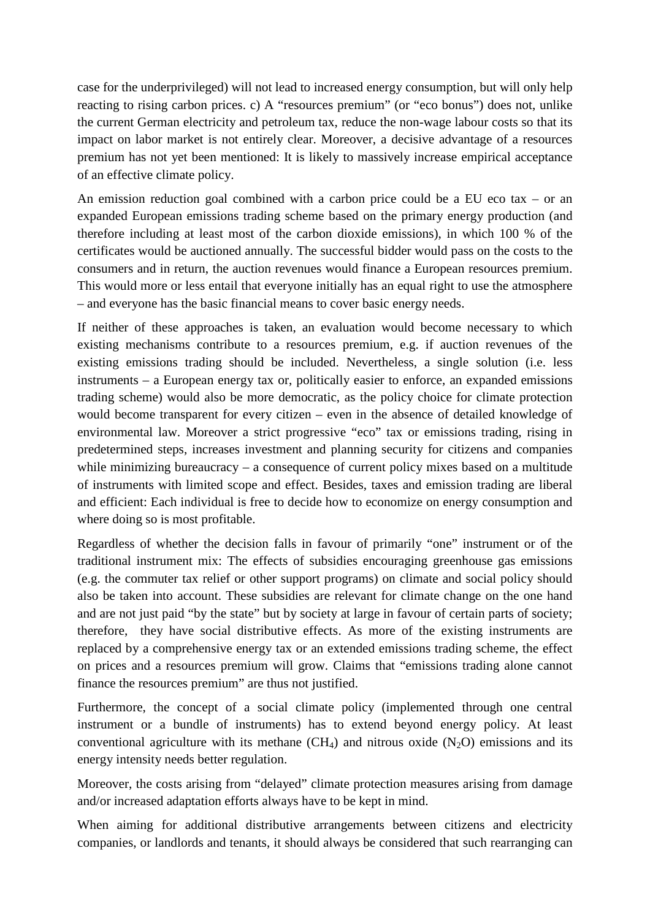case for the underprivileged) will not lead to increased energy consumption, but will only help reacting to rising carbon prices. c) A "resources premium" (or "eco bonus") does not, unlike the current German electricity and petroleum tax, reduce the non-wage labour costs so that its impact on labor market is not entirely clear. Moreover, a decisive advantage of a resources premium has not yet been mentioned: It is likely to massively increase empirical acceptance of an effective climate policy.

An emission reduction goal combined with a carbon price could be a EU eco tax – or an expanded European emissions trading scheme based on the primary energy production (and therefore including at least most of the carbon dioxide emissions), in which 100 % of the certificates would be auctioned annually. The successful bidder would pass on the costs to the consumers and in return, the auction revenues would finance a European resources premium. This would more or less entail that everyone initially has an equal right to use the atmosphere – and everyone has the basic financial means to cover basic energy needs.

If neither of these approaches is taken, an evaluation would become necessary to which existing mechanisms contribute to a resources premium, e.g. if auction revenues of the existing emissions trading should be included. Nevertheless, a single solution (i.e. less instruments – a European energy tax or, politically easier to enforce, an expanded emissions trading scheme) would also be more democratic, as the policy choice for climate protection would become transparent for every citizen – even in the absence of detailed knowledge of environmental law. Moreover a strict progressive "eco" tax or emissions trading, rising in predetermined steps, increases investment and planning security for citizens and companies while minimizing bureaucracy – a consequence of current policy mixes based on a multitude of instruments with limited scope and effect. Besides, taxes and emission trading are liberal and efficient: Each individual is free to decide how to economize on energy consumption and where doing so is most profitable.

Regardless of whether the decision falls in favour of primarily "one" instrument or of the traditional instrument mix: The effects of subsidies encouraging greenhouse gas emissions (e.g. the commuter tax relief or other support programs) on climate and social policy should also be taken into account. These subsidies are relevant for climate change on the one hand and are not just paid "by the state" but by society at large in favour of certain parts of society; therefore, they have social distributive effects. As more of the existing instruments are replaced by a comprehensive energy tax or an extended emissions trading scheme, the effect on prices and a resources premium will grow. Claims that "emissions trading alone cannot finance the resources premium" are thus not justified.

Furthermore, the concept of a social climate policy (implemented through one central instrument or a bundle of instruments) has to extend beyond energy policy. At least conventional agriculture with its methane  $(CH_4)$  and nitrous oxide  $(N_2O)$  emissions and its energy intensity needs better regulation.

Moreover, the costs arising from "delayed" climate protection measures arising from damage and/or increased adaptation efforts always have to be kept in mind.

When aiming for additional distributive arrangements between citizens and electricity companies, or landlords and tenants, it should always be considered that such rearranging can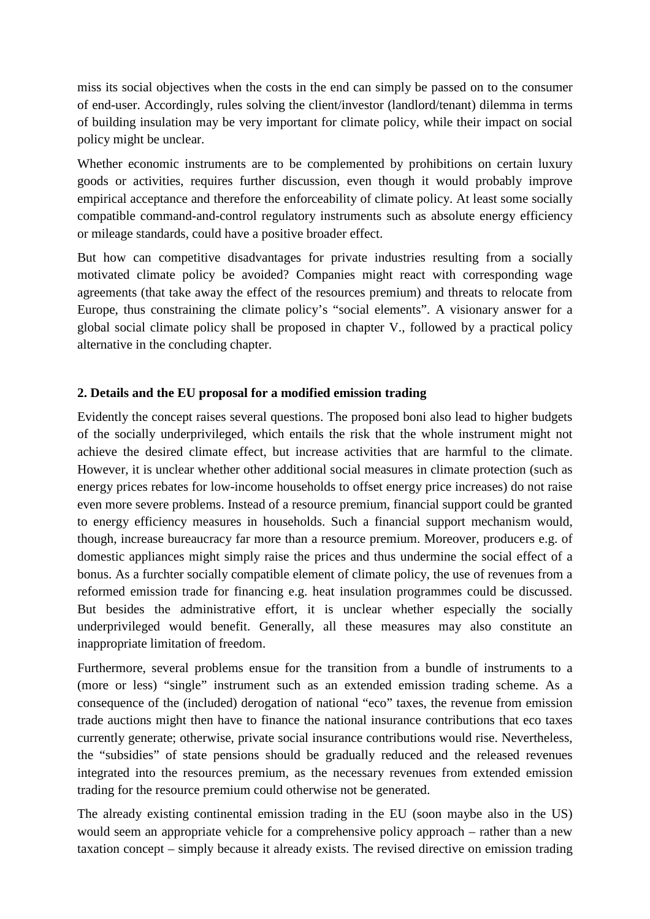miss its social objectives when the costs in the end can simply be passed on to the consumer of end-user. Accordingly, rules solving the client/investor (landlord/tenant) dilemma in terms of building insulation may be very important for climate policy, while their impact on social policy might be unclear.

Whether economic instruments are to be complemented by prohibitions on certain luxury goods or activities, requires further discussion, even though it would probably improve empirical acceptance and therefore the enforceability of climate policy. At least some socially compatible command-and-control regulatory instruments such as absolute energy efficiency or mileage standards, could have a positive broader effect.

But how can competitive disadvantages for private industries resulting from a socially motivated climate policy be avoided? Companies might react with corresponding wage agreements (that take away the effect of the resources premium) and threats to relocate from Europe, thus constraining the climate policy's "social elements". A visionary answer for a global social climate policy shall be proposed in chapter V., followed by a practical policy alternative in the concluding chapter.

## **2. Details and the EU proposal for a modified emission trading**

Evidently the concept raises several questions. The proposed boni also lead to higher budgets of the socially underprivileged, which entails the risk that the whole instrument might not achieve the desired climate effect, but increase activities that are harmful to the climate. However, it is unclear whether other additional social measures in climate protection (such as energy prices rebates for low-income households to offset energy price increases) do not raise even more severe problems. Instead of a resource premium, financial support could be granted to energy efficiency measures in households. Such a financial support mechanism would, though, increase bureaucracy far more than a resource premium. Moreover, producers e.g. of domestic appliances might simply raise the prices and thus undermine the social effect of a bonus. As a furchter socially compatible element of climate policy, the use of revenues from a reformed emission trade for financing e.g. heat insulation programmes could be discussed. But besides the administrative effort, it is unclear whether especially the socially underprivileged would benefit. Generally, all these measures may also constitute an inappropriate limitation of freedom.

Furthermore, several problems ensue for the transition from a bundle of instruments to a (more or less) "single" instrument such as an extended emission trading scheme. As a consequence of the (included) derogation of national "eco" taxes, the revenue from emission trade auctions might then have to finance the national insurance contributions that eco taxes currently generate; otherwise, private social insurance contributions would rise. Nevertheless, the "subsidies" of state pensions should be gradually reduced and the released revenues integrated into the resources premium, as the necessary revenues from extended emission trading for the resource premium could otherwise not be generated.

The already existing continental emission trading in the EU (soon maybe also in the US) would seem an appropriate vehicle for a comprehensive policy approach – rather than a new taxation concept – simply because it already exists. The revised directive on emission trading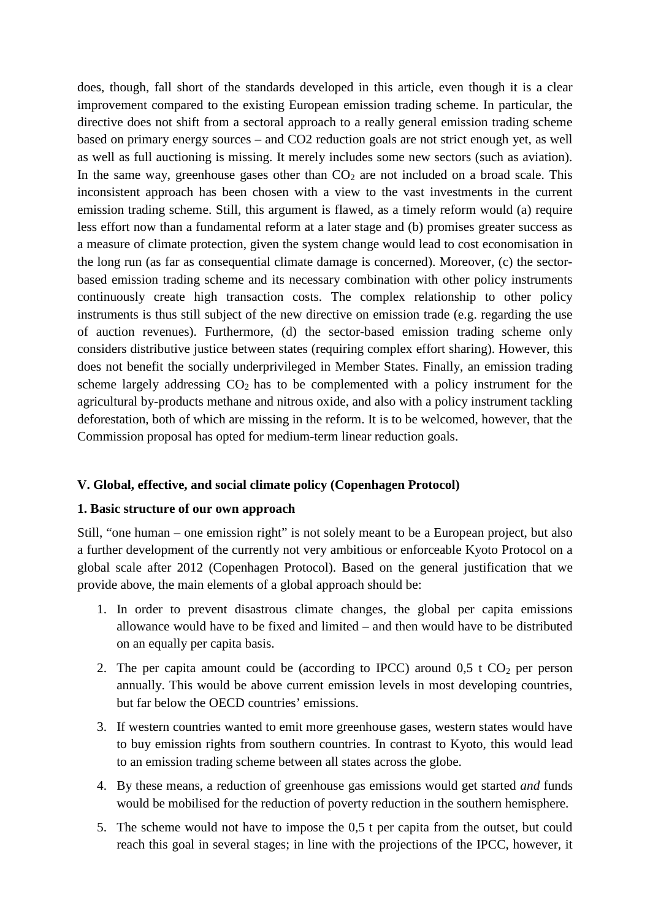does, though, fall short of the standards developed in this article, even though it is a clear improvement compared to the existing European emission trading scheme. In particular, the directive does not shift from a sectoral approach to a really general emission trading scheme based on primary energy sources – and CO2 reduction goals are not strict enough yet, as well as well as full auctioning is missing. It merely includes some new sectors (such as aviation). In the same way, greenhouse gases other than  $CO<sub>2</sub>$  are not included on a broad scale. This inconsistent approach has been chosen with a view to the vast investments in the current emission trading scheme. Still, this argument is flawed, as a timely reform would (a) require less effort now than a fundamental reform at a later stage and (b) promises greater success as a measure of climate protection, given the system change would lead to cost economisation in the long run (as far as consequential climate damage is concerned). Moreover, (c) the sectorbased emission trading scheme and its necessary combination with other policy instruments continuously create high transaction costs. The complex relationship to other policy instruments is thus still subject of the new directive on emission trade (e.g. regarding the use of auction revenues). Furthermore, (d) the sector-based emission trading scheme only considers distributive justice between states (requiring complex effort sharing). However, this does not benefit the socially underprivileged in Member States. Finally, an emission trading scheme largely addressing  $CO<sub>2</sub>$  has to be complemented with a policy instrument for the agricultural by-products methane and nitrous oxide, and also with a policy instrument tackling deforestation, both of which are missing in the reform. It is to be welcomed, however, that the Commission proposal has opted for medium-term linear reduction goals.

### **V. Global, effective, and social climate policy (Copenhagen Protocol)**

### **1. Basic structure of our own approach**

Still, "one human – one emission right" is not solely meant to be a European project, but also a further development of the currently not very ambitious or enforceable Kyoto Protocol on a global scale after 2012 (Copenhagen Protocol). Based on the general justification that we provide above, the main elements of a global approach should be:

- 1. In order to prevent disastrous climate changes, the global per capita emissions allowance would have to be fixed and limited – and then would have to be distributed on an equally per capita basis.
- 2. The per capita amount could be (according to IPCC) around  $0.5 \text{ t } CO_2$  per person annually. This would be above current emission levels in most developing countries, but far below the OECD countries' emissions.
- 3. If western countries wanted to emit more greenhouse gases, western states would have to buy emission rights from southern countries. In contrast to Kyoto, this would lead to an emission trading scheme between all states across the globe.
- 4. By these means, a reduction of greenhouse gas emissions would get started *and* funds would be mobilised for the reduction of poverty reduction in the southern hemisphere.
- 5. The scheme would not have to impose the 0,5 t per capita from the outset, but could reach this goal in several stages; in line with the projections of the IPCC, however, it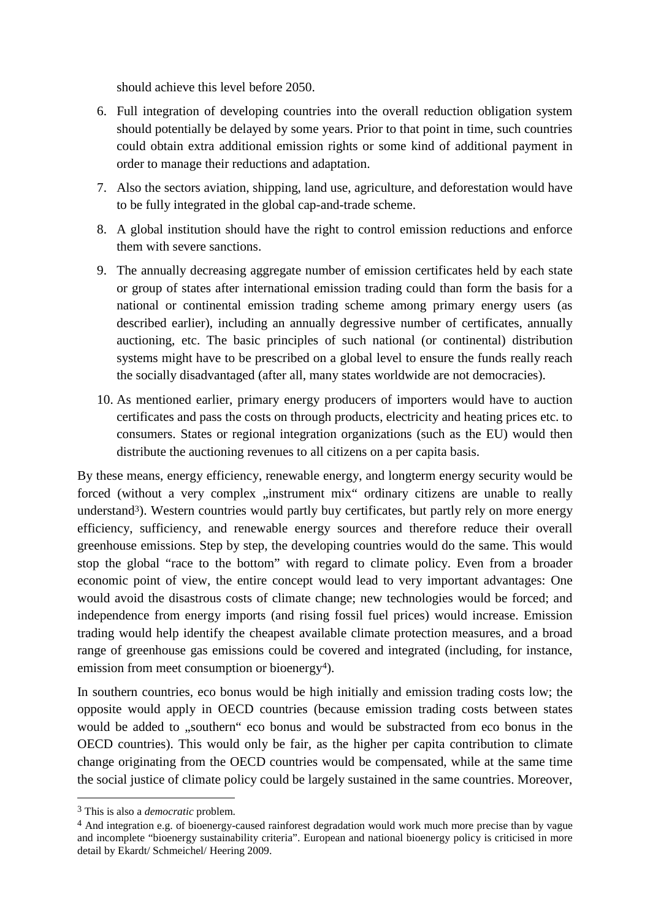should achieve this level before 2050.

- 6. Full integration of developing countries into the overall reduction obligation system should potentially be delayed by some years. Prior to that point in time, such countries could obtain extra additional emission rights or some kind of additional payment in order to manage their reductions and adaptation.
- 7. Also the sectors aviation, shipping, land use, agriculture, and deforestation would have to be fully integrated in the global cap-and-trade scheme.
- 8. A global institution should have the right to control emission reductions and enforce them with severe sanctions.
- 9. The annually decreasing aggregate number of emission certificates held by each state or group of states after international emission trading could than form the basis for a national or continental emission trading scheme among primary energy users (as described earlier), including an annually degressive number of certificates, annually auctioning, etc. The basic principles of such national (or continental) distribution systems might have to be prescribed on a global level to ensure the funds really reach the socially disadvantaged (after all, many states worldwide are not democracies).
- 10. As mentioned earlier, primary energy producers of importers would have to auction certificates and pass the costs on through products, electricity and heating prices etc. to consumers. States or regional integration organizations (such as the EU) would then distribute the auctioning revenues to all citizens on a per capita basis.

By these means, energy efficiency, renewable energy, and longterm energy security would be forced (without a very complex "instrument mix" ordinary citizens are unable to really understand<sup>3</sup>). Western countries would partly buy certificates, but partly rely on more energy efficiency, sufficiency, and renewable energy sources and therefore reduce their overall greenhouse emissions. Step by step, the developing countries would do the same. This would stop the global "race to the bottom" with regard to climate policy. Even from a broader economic point of view, the entire concept would lead to very important advantages: One would avoid the disastrous costs of climate change; new technologies would be forced; and independence from energy imports (and rising fossil fuel prices) would increase. Emission trading would help identify the cheapest available climate protection measures, and a broad range of greenhouse gas emissions could be covered and integrated (including, for instance, emission from meet consumption or bioenergy<sup>4</sup>).

In southern countries, eco bonus would be high initially and emission trading costs low; the opposite would apply in OECD countries (because emission trading costs between states would be added to "southern" eco bonus and would be substracted from eco bonus in the OECD countries). This would only be fair, as the higher per capita contribution to climate change originating from the OECD countries would be compensated, while at the same time the social justice of climate policy could be largely sustained in the same countries. Moreover,

<sup>3</sup> This is also a *democratic* problem.

<sup>4</sup> And integration e.g. of bioenergy-caused rainforest degradation would work much more precise than by vague and incomplete "bioenergy sustainability criteria". European and national bioenergy policy is criticised in more detail by Ekardt/ Schmeichel/ Heering 2009.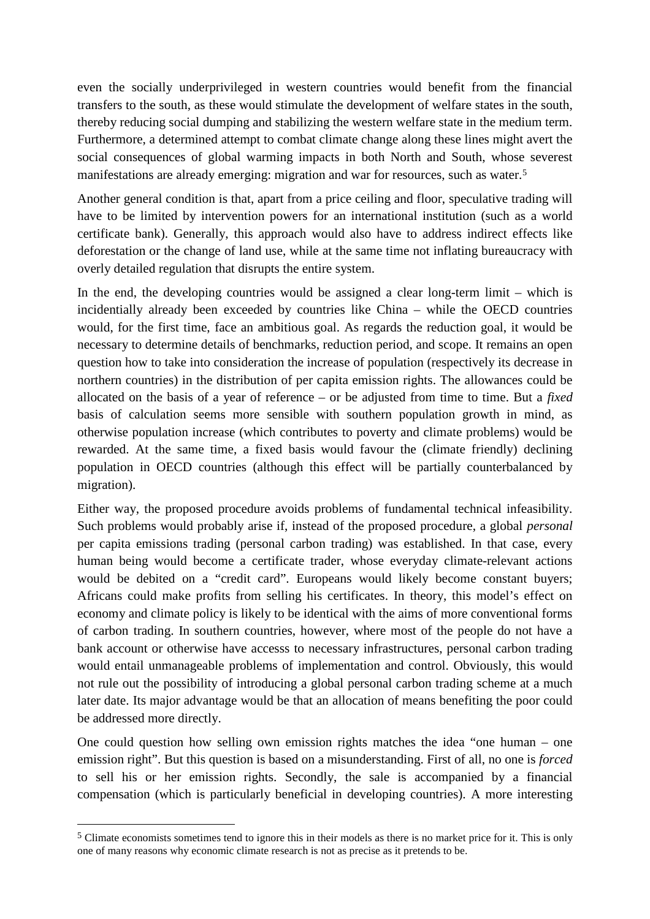even the socially underprivileged in western countries would benefit from the financial transfers to the south, as these would stimulate the development of welfare states in the south, thereby reducing social dumping and stabilizing the western welfare state in the medium term. Furthermore, a determined attempt to combat climate change along these lines might avert the social consequences of global warming impacts in both North and South, whose severest manifestations are already emerging: migration and war for resources, such as water.<sup>5</sup>

Another general condition is that, apart from a price ceiling and floor, speculative trading will have to be limited by intervention powers for an international institution (such as a world certificate bank). Generally, this approach would also have to address indirect effects like deforestation or the change of land use, while at the same time not inflating bureaucracy with overly detailed regulation that disrupts the entire system.

In the end, the developing countries would be assigned a clear long-term limit – which is incidentially already been exceeded by countries like China – while the OECD countries would, for the first time, face an ambitious goal. As regards the reduction goal, it would be necessary to determine details of benchmarks, reduction period, and scope. It remains an open question how to take into consideration the increase of population (respectively its decrease in northern countries) in the distribution of per capita emission rights. The allowances could be allocated on the basis of a year of reference – or be adjusted from time to time. But a *fixed* basis of calculation seems more sensible with southern population growth in mind, as otherwise population increase (which contributes to poverty and climate problems) would be rewarded. At the same time, a fixed basis would favour the (climate friendly) declining population in OECD countries (although this effect will be partially counterbalanced by migration).

Either way, the proposed procedure avoids problems of fundamental technical infeasibility. Such problems would probably arise if, instead of the proposed procedure, a global *personal* per capita emissions trading (personal carbon trading) was established. In that case, every human being would become a certificate trader, whose everyday climate-relevant actions would be debited on a "credit card". Europeans would likely become constant buyers; Africans could make profits from selling his certificates. In theory, this model's effect on economy and climate policy is likely to be identical with the aims of more conventional forms of carbon trading. In southern countries, however, where most of the people do not have a bank account or otherwise have accesss to necessary infrastructures, personal carbon trading would entail unmanageable problems of implementation and control. Obviously, this would not rule out the possibility of introducing a global personal carbon trading scheme at a much later date. Its major advantage would be that an allocation of means benefiting the poor could be addressed more directly.

One could question how selling own emission rights matches the idea "one human – one emission right". But this question is based on a misunderstanding. First of all, no one is *forced* to sell his or her emission rights. Secondly, the sale is accompanied by a financial compensation (which is particularly beneficial in developing countries). A more interesting

<sup>5</sup> Climate economists sometimes tend to ignore this in their models as there is no market price for it. This is only one of many reasons why economic climate research is not as precise as it pretends to be.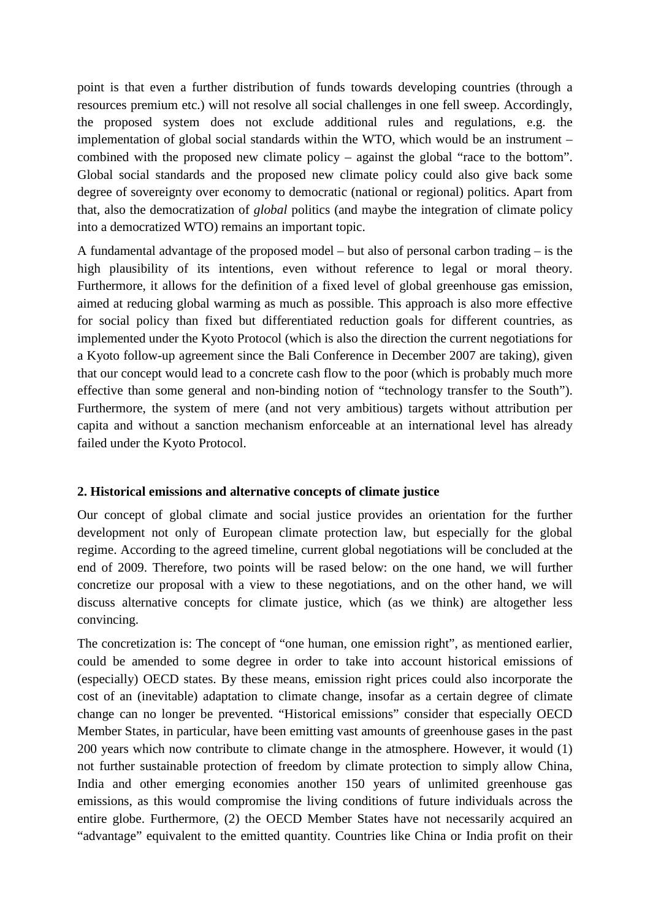point is that even a further distribution of funds towards developing countries (through a resources premium etc.) will not resolve all social challenges in one fell sweep. Accordingly, the proposed system does not exclude additional rules and regulations, e.g. the implementation of global social standards within the WTO, which would be an instrument – combined with the proposed new climate policy – against the global "race to the bottom". Global social standards and the proposed new climate policy could also give back some degree of sovereignty over economy to democratic (national or regional) politics. Apart from that, also the democratization of *global* politics (and maybe the integration of climate policy into a democratized WTO) remains an important topic.

A fundamental advantage of the proposed model – but also of personal carbon trading – is the high plausibility of its intentions, even without reference to legal or moral theory. Furthermore, it allows for the definition of a fixed level of global greenhouse gas emission, aimed at reducing global warming as much as possible. This approach is also more effective for social policy than fixed but differentiated reduction goals for different countries, as implemented under the Kyoto Protocol (which is also the direction the current negotiations for a Kyoto follow-up agreement since the Bali Conference in December 2007 are taking), given that our concept would lead to a concrete cash flow to the poor (which is probably much more effective than some general and non-binding notion of "technology transfer to the South"). Furthermore, the system of mere (and not very ambitious) targets without attribution per capita and without a sanction mechanism enforceable at an international level has already failed under the Kyoto Protocol.

## **2. Historical emissions and alternative concepts of climate justice**

Our concept of global climate and social justice provides an orientation for the further development not only of European climate protection law, but especially for the global regime. According to the agreed timeline, current global negotiations will be concluded at the end of 2009. Therefore, two points will be rased below: on the one hand, we will further concretize our proposal with a view to these negotiations, and on the other hand, we will discuss alternative concepts for climate justice, which (as we think) are altogether less convincing.

The concretization is: The concept of "one human, one emission right", as mentioned earlier, could be amended to some degree in order to take into account historical emissions of (especially) OECD states. By these means, emission right prices could also incorporate the cost of an (inevitable) adaptation to climate change, insofar as a certain degree of climate change can no longer be prevented. "Historical emissions" consider that especially OECD Member States, in particular, have been emitting vast amounts of greenhouse gases in the past 200 years which now contribute to climate change in the atmosphere. However, it would (1) not further sustainable protection of freedom by climate protection to simply allow China, India and other emerging economies another 150 years of unlimited greenhouse gas emissions, as this would compromise the living conditions of future individuals across the entire globe. Furthermore, (2) the OECD Member States have not necessarily acquired an "advantage" equivalent to the emitted quantity. Countries like China or India profit on their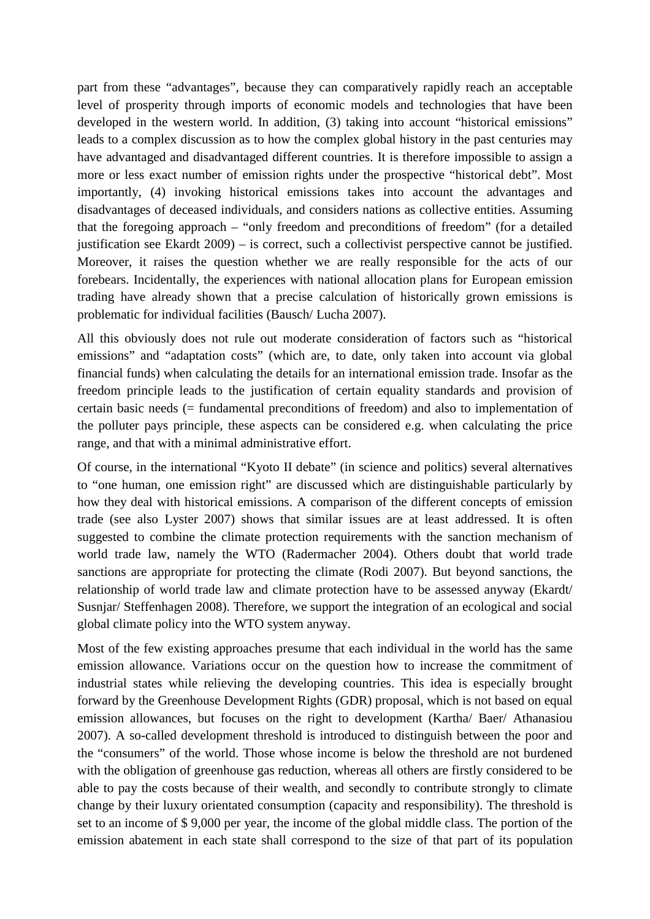part from these "advantages", because they can comparatively rapidly reach an acceptable level of prosperity through imports of economic models and technologies that have been developed in the western world. In addition, (3) taking into account "historical emissions" leads to a complex discussion as to how the complex global history in the past centuries may have advantaged and disadvantaged different countries. It is therefore impossible to assign a more or less exact number of emission rights under the prospective "historical debt". Most importantly, (4) invoking historical emissions takes into account the advantages and disadvantages of deceased individuals, and considers nations as collective entities. Assuming that the foregoing approach – "only freedom and preconditions of freedom" (for a detailed justification see Ekardt 2009) – is correct, such a collectivist perspective cannot be justified. Moreover, it raises the question whether we are really responsible for the acts of our forebears. Incidentally, the experiences with national allocation plans for European emission trading have already shown that a precise calculation of historically grown emissions is problematic for individual facilities (Bausch/ Lucha 2007).

All this obviously does not rule out moderate consideration of factors such as "historical emissions" and "adaptation costs" (which are, to date, only taken into account via global financial funds) when calculating the details for an international emission trade. Insofar as the freedom principle leads to the justification of certain equality standards and provision of certain basic needs (= fundamental preconditions of freedom) and also to implementation of the polluter pays principle, these aspects can be considered e.g. when calculating the price range, and that with a minimal administrative effort.

Of course, in the international "Kyoto II debate" (in science and politics) several alternatives to "one human, one emission right" are discussed which are distinguishable particularly by how they deal with historical emissions. A comparison of the different concepts of emission trade (see also Lyster 2007) shows that similar issues are at least addressed. It is often suggested to combine the climate protection requirements with the sanction mechanism of world trade law, namely the WTO (Radermacher 2004). Others doubt that world trade sanctions are appropriate for protecting the climate (Rodi 2007). But beyond sanctions, the relationship of world trade law and climate protection have to be assessed anyway (Ekardt/ Susnjar/ Steffenhagen 2008). Therefore, we support the integration of an ecological and social global climate policy into the WTO system anyway.

Most of the few existing approaches presume that each individual in the world has the same emission allowance. Variations occur on the question how to increase the commitment of industrial states while relieving the developing countries. This idea is especially brought forward by the Greenhouse Development Rights (GDR) proposal, which is not based on equal emission allowances, but focuses on the right to development (Kartha/ Baer/ Athanasiou 2007). A so-called development threshold is introduced to distinguish between the poor and the "consumers" of the world. Those whose income is below the threshold are not burdened with the obligation of greenhouse gas reduction, whereas all others are firstly considered to be able to pay the costs because of their wealth, and secondly to contribute strongly to climate change by their luxury orientated consumption (capacity and responsibility). The threshold is set to an income of \$ 9,000 per year, the income of the global middle class. The portion of the emission abatement in each state shall correspond to the size of that part of its population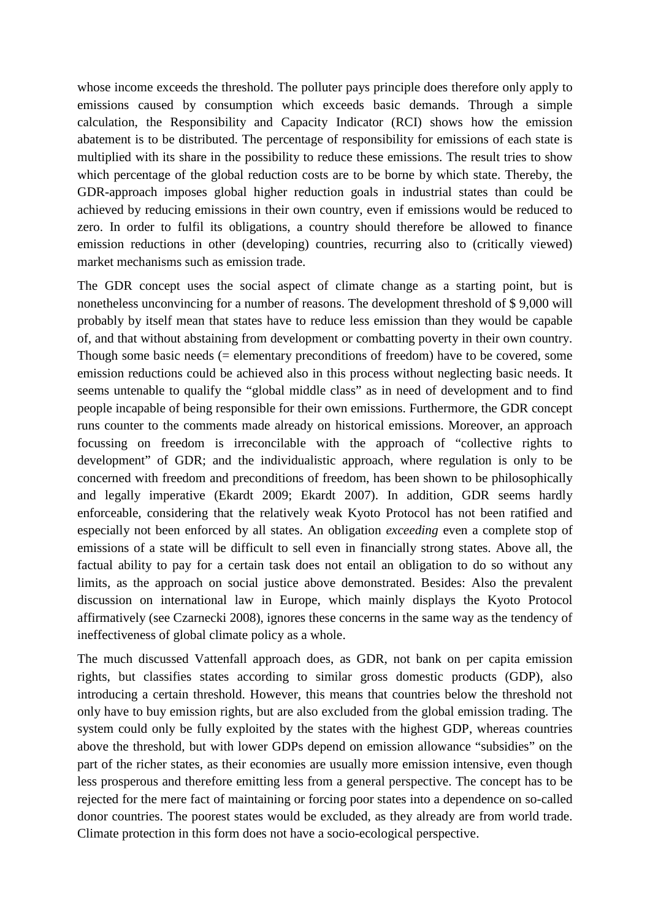whose income exceeds the threshold. The polluter pays principle does therefore only apply to emissions caused by consumption which exceeds basic demands. Through a simple calculation, the Responsibility and Capacity Indicator (RCI) shows how the emission abatement is to be distributed. The percentage of responsibility for emissions of each state is multiplied with its share in the possibility to reduce these emissions. The result tries to show which percentage of the global reduction costs are to be borne by which state. Thereby, the GDR-approach imposes global higher reduction goals in industrial states than could be achieved by reducing emissions in their own country, even if emissions would be reduced to zero. In order to fulfil its obligations, a country should therefore be allowed to finance emission reductions in other (developing) countries, recurring also to (critically viewed) market mechanisms such as emission trade.

The GDR concept uses the social aspect of climate change as a starting point, but is nonetheless unconvincing for a number of reasons. The development threshold of \$ 9,000 will probably by itself mean that states have to reduce less emission than they would be capable of, and that without abstaining from development or combatting poverty in their own country. Though some basic needs (= elementary preconditions of freedom) have to be covered, some emission reductions could be achieved also in this process without neglecting basic needs. It seems untenable to qualify the "global middle class" as in need of development and to find people incapable of being responsible for their own emissions. Furthermore, the GDR concept runs counter to the comments made already on historical emissions. Moreover, an approach focussing on freedom is irreconcilable with the approach of "collective rights to development" of GDR; and the individualistic approach, where regulation is only to be concerned with freedom and preconditions of freedom, has been shown to be philosophically and legally imperative (Ekardt 2009; Ekardt 2007). In addition, GDR seems hardly enforceable, considering that the relatively weak Kyoto Protocol has not been ratified and especially not been enforced by all states. An obligation *exceeding* even a complete stop of emissions of a state will be difficult to sell even in financially strong states. Above all, the factual ability to pay for a certain task does not entail an obligation to do so without any limits, as the approach on social justice above demonstrated. Besides: Also the prevalent discussion on international law in Europe, which mainly displays the Kyoto Protocol affirmatively (see Czarnecki 2008), ignores these concerns in the same way as the tendency of ineffectiveness of global climate policy as a whole.

The much discussed Vattenfall approach does, as GDR, not bank on per capita emission rights, but classifies states according to similar gross domestic products (GDP), also introducing a certain threshold. However, this means that countries below the threshold not only have to buy emission rights, but are also excluded from the global emission trading. The system could only be fully exploited by the states with the highest GDP, whereas countries above the threshold, but with lower GDPs depend on emission allowance "subsidies" on the part of the richer states, as their economies are usually more emission intensive, even though less prosperous and therefore emitting less from a general perspective. The concept has to be rejected for the mere fact of maintaining or forcing poor states into a dependence on so-called donor countries. The poorest states would be excluded, as they already are from world trade. Climate protection in this form does not have a socio-ecological perspective.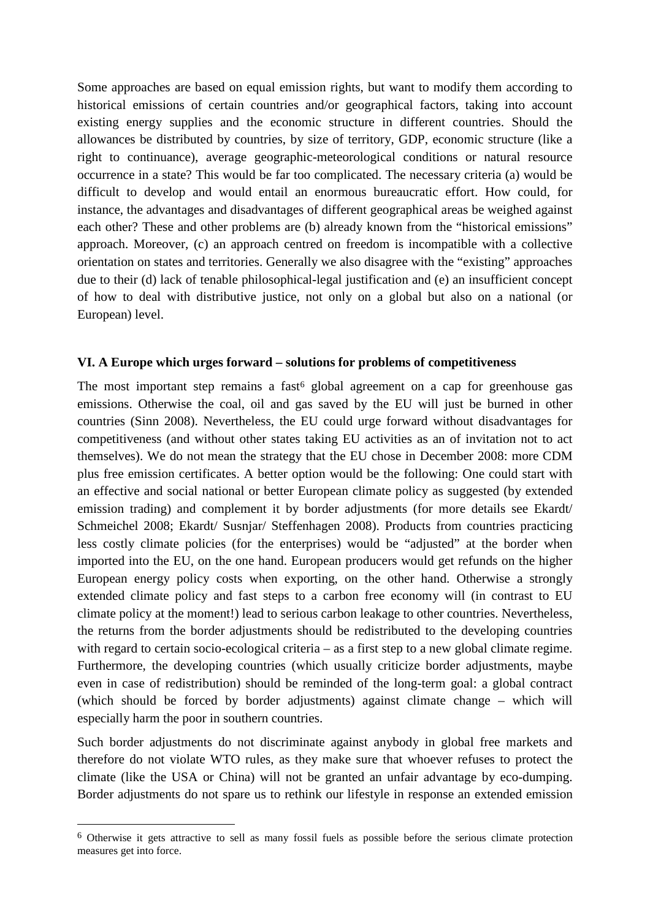Some approaches are based on equal emission rights, but want to modify them according to historical emissions of certain countries and/or geographical factors, taking into account existing energy supplies and the economic structure in different countries. Should the allowances be distributed by countries, by size of territory, GDP, economic structure (like a right to continuance), average geographic-meteorological conditions or natural resource occurrence in a state? This would be far too complicated. The necessary criteria (a) would be difficult to develop and would entail an enormous bureaucratic effort. How could, for instance, the advantages and disadvantages of different geographical areas be weighed against each other? These and other problems are (b) already known from the "historical emissions" approach. Moreover, (c) an approach centred on freedom is incompatible with a collective orientation on states and territories. Generally we also disagree with the "existing" approaches due to their (d) lack of tenable philosophical-legal justification and (e) an insufficient concept of how to deal with distributive justice, not only on a global but also on a national (or European) level.

### **VI. A Europe which urges forward – solutions for problems of competitiveness**

The most important step remains a fast<sup> $6$ </sup> global agreement on a cap for greenhouse gas emissions. Otherwise the coal, oil and gas saved by the EU will just be burned in other countries (Sinn 2008). Nevertheless, the EU could urge forward without disadvantages for competitiveness (and without other states taking EU activities as an of invitation not to act themselves). We do not mean the strategy that the EU chose in December 2008: more CDM plus free emission certificates. A better option would be the following: One could start with an effective and social national or better European climate policy as suggested (by extended emission trading) and complement it by border adjustments (for more details see Ekardt/ Schmeichel 2008; Ekardt/ Susnjar/ Steffenhagen 2008). Products from countries practicing less costly climate policies (for the enterprises) would be "adjusted" at the border when imported into the EU, on the one hand. European producers would get refunds on the higher European energy policy costs when exporting, on the other hand. Otherwise a strongly extended climate policy and fast steps to a carbon free economy will (in contrast to EU climate policy at the moment!) lead to serious carbon leakage to other countries. Nevertheless, the returns from the border adjustments should be redistributed to the developing countries with regard to certain socio-ecological criteria – as a first step to a new global climate regime. Furthermore, the developing countries (which usually criticize border adjustments, maybe even in case of redistribution) should be reminded of the long-term goal: a global contract (which should be forced by border adjustments) against climate change – which will especially harm the poor in southern countries.

Such border adjustments do not discriminate against anybody in global free markets and therefore do not violate WTO rules, as they make sure that whoever refuses to protect the climate (like the USA or China) will not be granted an unfair advantage by eco-dumping. Border adjustments do not spare us to rethink our lifestyle in response an extended emission

<sup>6</sup> Otherwise it gets attractive to sell as many fossil fuels as possible before the serious climate protection measures get into force.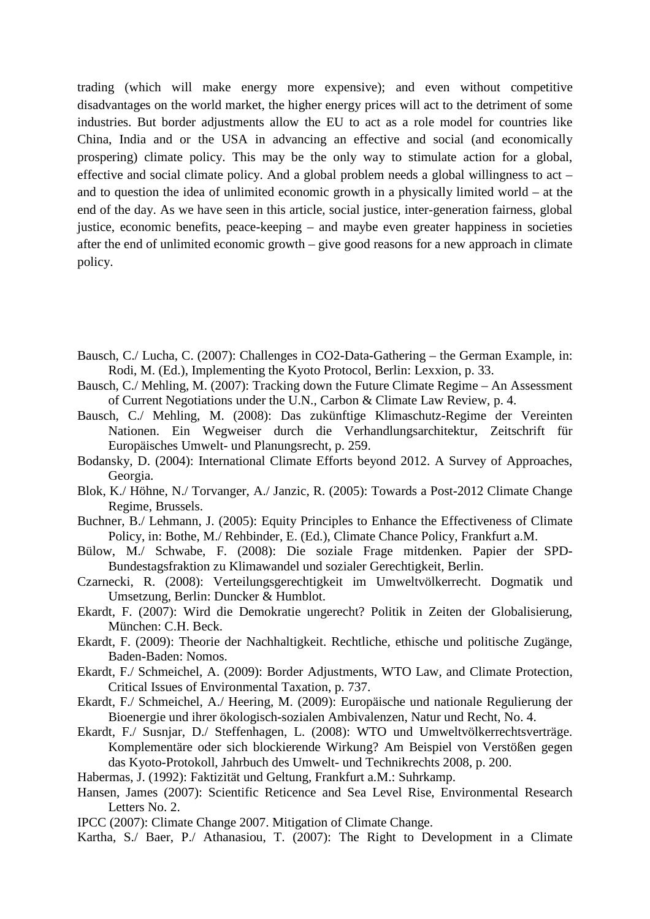trading (which will make energy more expensive); and even without competitive disadvantages on the world market, the higher energy prices will act to the detriment of some industries. But border adjustments allow the EU to act as a role model for countries like China, India and or the USA in advancing an effective and social (and economically prospering) climate policy. This may be the only way to stimulate action for a global, effective and social climate policy. And a global problem needs a global willingness to act – and to question the idea of unlimited economic growth in a physically limited world – at the end of the day. As we have seen in this article, social justice, inter-generation fairness, global justice, economic benefits, peace-keeping – and maybe even greater happiness in societies after the end of unlimited economic growth – give good reasons for a new approach in climate policy.

- Bausch, C./ Lucha, C. (2007): Challenges in CO2-Data-Gathering the German Example, in: Rodi, M. (Ed.), Implementing the Kyoto Protocol, Berlin: Lexxion, p. 33.
- Bausch, C./ Mehling, M. (2007): Tracking down the Future Climate Regime An Assessment of Current Negotiations under the U.N., Carbon & Climate Law Review, p. 4.
- Bausch, C./ Mehling, M. (2008): Das zukünftige Klimaschutz-Regime der Vereinten Nationen. Ein Wegweiser durch die Verhandlungsarchitektur, Zeitschrift für Europäisches Umwelt- und Planungsrecht, p. 259.
- Bodansky, D. (2004): International Climate Efforts beyond 2012. A Survey of Approaches, Georgia.
- Blok, K./ Höhne, N./ Torvanger, A./ Janzic, R. (2005): Towards a Post-2012 Climate Change Regime, Brussels.
- Buchner, B./ Lehmann, J. (2005): Equity Principles to Enhance the Effectiveness of Climate Policy, in: Bothe, M./ Rehbinder, E. (Ed.), Climate Chance Policy, Frankfurt a.M.
- Bülow, M./ Schwabe, F. (2008): Die soziale Frage mitdenken. Papier der SPD-Bundestagsfraktion zu Klimawandel und sozialer Gerechtigkeit, Berlin.
- Czarnecki, R. (2008): Verteilungsgerechtigkeit im Umweltvölkerrecht. Dogmatik und Umsetzung, Berlin: Duncker & Humblot.
- Ekardt, F. (2007): Wird die Demokratie ungerecht? Politik in Zeiten der Globalisierung, München: C.H. Beck.
- Ekardt, F. (2009): Theorie der Nachhaltigkeit. Rechtliche, ethische und politische Zugänge, Baden-Baden: Nomos.
- Ekardt, F./ Schmeichel, A. (2009): Border Adjustments, WTO Law, and Climate Protection, Critical Issues of Environmental Taxation, p. 737.
- Ekardt, F./ Schmeichel, A./ Heering, M. (2009): Europäische und nationale Regulierung der Bioenergie und ihrer ökologisch-sozialen Ambivalenzen, Natur und Recht, No. 4.
- Ekardt, F./ Susnjar, D./ Steffenhagen, L. (2008): WTO und Umweltvölkerrechtsverträge. Komplementäre oder sich blockierende Wirkung? Am Beispiel von Verstößen gegen das Kyoto-Protokoll, Jahrbuch des Umwelt- und Technikrechts 2008, p. 200.
- Habermas, J. (1992): Faktizität und Geltung, Frankfurt a.M.: Suhrkamp.
- Hansen, James (2007): Scientific Reticence and Sea Level Rise, Environmental Research Letters No. 2.
- IPCC (2007): Climate Change 2007. Mitigation of Climate Change.
- Kartha, S./ Baer, P./ Athanasiou, T. (2007): The Right to Development in a Climate